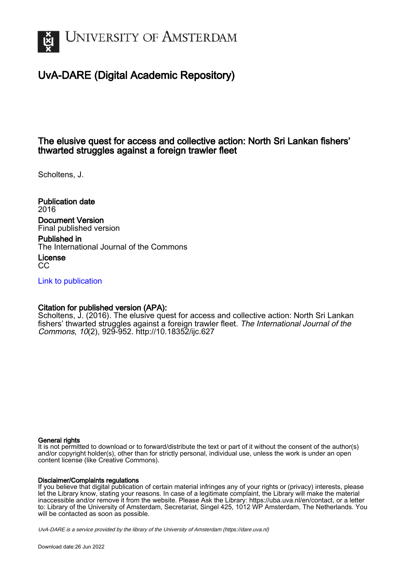

# UvA-DARE (Digital Academic Repository)

# The elusive quest for access and collective action: North Sri Lankan fishers' thwarted struggles against a foreign trawler fleet

Scholtens, J.

Publication date 2016 Document Version Final published version

Published in The International Journal of the Commons

License CC

[Link to publication](https://dare.uva.nl/personal/pure/en/publications/the-elusive-quest-for-access-and-collective-action-north-sri-lankan-fishers-thwarted-struggles-against-a-foreign-trawler-fleet(00b4c2bd-9408-4806-8847-ca7871fa6527).html)

### Citation for published version (APA):

Scholtens, J. (2016). The elusive quest for access and collective action: North Sri Lankan fishers' thwarted struggles against a foreign trawler fleet. The International Journal of the Commons, 10(2), 929-952. <http://10.18352/ijc.627>

### General rights

It is not permitted to download or to forward/distribute the text or part of it without the consent of the author(s) and/or copyright holder(s), other than for strictly personal, individual use, unless the work is under an open content license (like Creative Commons).

### Disclaimer/Complaints regulations

If you believe that digital publication of certain material infringes any of your rights or (privacy) interests, please let the Library know, stating your reasons. In case of a legitimate complaint, the Library will make the material inaccessible and/or remove it from the website. Please Ask the Library: https://uba.uva.nl/en/contact, or a letter to: Library of the University of Amsterdam, Secretariat, Singel 425, 1012 WP Amsterdam, The Netherlands. You will be contacted as soon as possible.

UvA-DARE is a service provided by the library of the University of Amsterdam (http*s*://dare.uva.nl)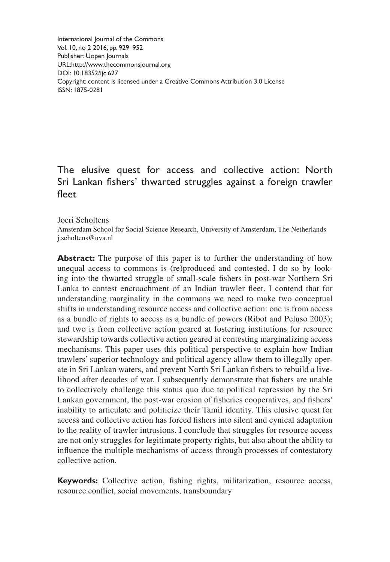International Journal of the Commons Vol. 10, no 2 2016, pp. 929–952 Publisher: Uopen Journals URL[:http://www.thecommonsjournal.org](http://www.thecommonsjournal.org) [DOI: 10.18352/ijc.627](http://doi.org/10.18352/ijc.627) Copyright: content is licensed under a Creative Commons Attribution 3.0 License ISSN: 1875-0281

## The elusive quest for access and collective action: North Sri Lankan fishers' thwarted struggles against a foreign trawler fleet

Joeri Scholtens

Amsterdam School for Social Science Research, University of Amsterdam, The Netherlands j.scholtens@uva.nl

**Abstract:** The purpose of this paper is to further the understanding of how unequal access to commons is (re)produced and contested. I do so by looking into the thwarted struggle of small-scale fishers in post-war Northern Sri Lanka to contest encroachment of an Indian trawler fleet. I contend that for understanding marginality in the commons we need to make two conceptual shifts in understanding resource access and collective action: one is from access as a bundle of rights to access as a bundle of powers ([Ribot and Peluso 2003\)](#page-22-0); and two is from collective action geared at fostering institutions for resource stewardship towards collective action geared at contesting marginalizing access mechanisms. This paper uses this political perspective to explain how Indian trawlers' superior technology and political agency allow them to illegally operate in Sri Lankan waters, and prevent North Sri Lankan fishers to rebuild a livelihood after decades of war. I subsequently demonstrate that fishers are unable to collectively challenge this status quo due to political repression by the Sri Lankan government, the post-war erosion of fisheries cooperatives, and fishers' inability to articulate and politicize their Tamil identity. This elusive quest for access and collective action has forced fishers into silent and cynical adaptation to the reality of trawler intrusions. I conclude that struggles for resource access are not only struggles for legitimate property rights, but also about the ability to influence the multiple mechanisms of access through processes of contestatory collective action.

**Keywords:** Collective action, fishing rights, militarization, resource access, resource conflict, social movements, transboundary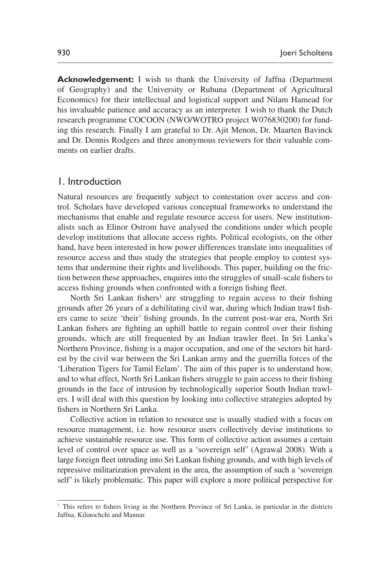**Acknowledgement:** I wish to thank the University of Jaffna (Department of Geography) and the University or Ruhuna (Department of Agricultural Economics) for their intellectual and logistical support and Nilam Hamead for his invaluable patience and accuracy as an interpreter. I wish to thank the Dutch research programme COCOON (NWO/WOTRO project W076830200) for funding this research. Finally I am grateful to Dr. Ajit Menon, Dr. Maarten Bavinck and Dr. Dennis Rodgers and three anonymous reviewers for their valuable comments on earlier drafts.

### 1. Introduction

Natural resources are frequently subject to contestation over access and control. Scholars have developed various conceptual frameworks to understand the mechanisms that enable and regulate resource access for users. New institutionalists such as Elinor Ostrom have analysed the conditions under which people develop institutions that allocate access rights. Political ecologists, on the other hand, have been interested in how power differences translate into inequalities of resource access and thus study the strategies that people employ to contest systems that undermine their rights and livelihoods. This paper, building on the friction between these approaches, enquires into the struggles of small-scale fishers to access fishing grounds when confronted with a foreign fishing fleet.

North Sri Lankan fishers<sup>1</sup> are struggling to regain access to their fishing grounds after 26 years of a debilitating civil war, during which Indian trawl fishers came to seize 'their' fishing grounds. In the current post-war era, North Sri Lankan fishers are fighting an uphill battle to regain control over their fishing grounds, which are still frequented by an Indian trawler fleet. In Sri Lanka's Northern Province, fishing is a major occupation, and one of the sectors hit hardest by the civil war between the Sri Lankan army and the guerrilla forces of the 'Liberation Tigers for Tamil Eelam'. The aim of this paper is to understand how, and to what effect, North Sri Lankan fishers struggle to gain access to their fishing grounds in the face of intrusion by technologically superior South Indian trawlers. I will deal with this question by looking into collective strategies adopted by fishers in Northern Sri Lanka.

Collective action in relation to resource use is usually studied with a focus on resource management, i.e. how resource users collectively devise institutions to achieve sustainable resource use. This form of collective action assumes a certain level of control over space as well as a 'sovereign self' [\(Agrawal 2008](#page-20-0)). With a large foreign fleet intruding into Sri Lankan fishing grounds, and with high levels of repressive militarization prevalent in the area, the assumption of such a 'sovereign self' is likely problematic. This paper will explore a more political perspective for

<sup>&</sup>lt;sup>1</sup> This refers to fishers living in the Northern Province of Sri Lanka, in particular in the districts Jaffna, Kilinochchi and Mannar.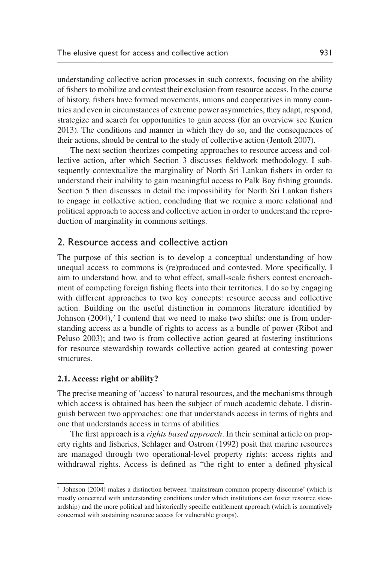understanding collective action processes in such contexts, focusing on the ability of fishers to mobilize and contest their exclusion from resource access. In the course of history, fishers have formed movements, unions and cooperatives in many countries and even in circumstances of extreme power asymmetries, they adapt, respond, strategize and search for opportunities to gain access (for an overview see [Kurien](#page-22-1) [2013](#page-22-1)). The conditions and manner in which they do so, and the consequences of their actions, should be central to the study of collective action [\(Jentoft 2007](#page-22-2)).

The next section theorizes competing approaches to resource access and collective action, after which Section 3 discusses fieldwork methodology. I subsequently contextualize the marginality of North Sri Lankan fishers in order to understand their inability to gain meaningful access to Palk Bay fishing grounds. Section 5 then discusses in detail the impossibility for North Sri Lankan fishers to engage in collective action, concluding that we require a more relational and political approach to access and collective action in order to understand the reproduction of marginality in commons settings.

### 2. Resource access and collective action

The purpose of this section is to develop a conceptual understanding of how unequal access to commons is (re)produced and contested. More specifically, I aim to understand how, and to what effect, small-scale fishers contest encroachment of competing foreign fishing fleets into their territories. I do so by engaging with different approaches to two key concepts: resource access and collective action. Building on the useful distinction in commons literature identified by Johnson  $(2004)$ ,<sup>2</sup> I contend that we need to make two shifts: one is from understanding access as a bundle of rights to access as a bundle of power [\(Ribot and](#page-22-0) [Peluso 2003\)](#page-22-0); and two is from collective action geared at fostering institutions for resource stewardship towards collective action geared at contesting power structures.

### **2.1. Access: right or ability?**

The precise meaning of 'access' to natural resources, and the mechanisms through which access is obtained has been the subject of much academic debate. I distinguish between two approaches: one that understands access in terms of rights and one that understands access in terms of abilities.

The first approach is a *rights based approach*. In their seminal article on property rights and fisheries, [Schlager and Ostrom \(1992\)](#page-23-0) posit that marine resources are managed through two operational-level property rights: access rights and withdrawal rights. Access is defined as "the right to enter a defined physical

<sup>2</sup> [Johnson \(2004\)](#page-22-3) makes a distinction between 'mainstream common property discourse' (which is mostly concerned with understanding conditions under which institutions can foster resource stewardship) and the more political and historically specific entitlement approach (which is normatively concerned with sustaining resource access for vulnerable groups).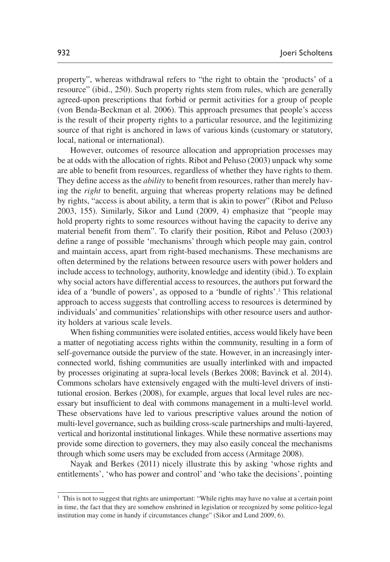property", whereas withdrawal refers to "the right to obtain the 'products' of a resource" (ibid., 250). Such property rights stem from rules, which are generally agreed-upon prescriptions that forbid or permit activities for a group of people [\(von Benda-Beckman et](#page-24-0) al. 2006). This approach presumes that people's access is the result of their property rights to a particular resource, and the legitimizing source of that right is anchored in laws of various kinds (customary or statutory, local, national or international).

However, outcomes of resource allocation and appropriation processes may be at odds with the allocation of rights. [Ribot and Peluso \(2003\)](#page-22-0) unpack why some are able to benefit from resources, regardless of whether they have rights to them. They define access as the *ability* to benefit from resources, rather than merely having the *right* to benefit, arguing that whereas property relations may be defined by rights, "access is about ability, a term that is akin to power" [\(Ribot and Peluso](#page-22-0) [2003, 155\)](#page-22-0). Similarly, [Sikor and Lund \(2009, 4\)](#page-23-1) emphasize that "people may hold property rights to some resources without having the capacity to derive any material benefit from them". To clarify their position, [Ribot and Peluso \(2003\)](#page-22-0)  define a range of possible 'mechanisms' through which people may gain, control and maintain access, apart from right-based mechanisms. These mechanisms are often determined by the relations between resource users with power holders and include access to technology, authority, knowledge and identity (ibid.). To explain why social actors have differential access to resources, the authors put forward the idea of a 'bundle of powers', as opposed to a 'bundle of rights'.3 This relational approach to access suggests that controlling access to resources is determined by individuals' and communities' relationships with other resource users and authority holders at various scale levels.

When fishing communities were isolated entities, access would likely have been a matter of negotiating access rights within the community, resulting in a form of self-governance outside the purview of the state. However, in an increasingly interconnected world, fishing communities are usually interlinked with and impacted by processes originating at supra-local levels ([Berkes 2008](#page-21-0); [Bavinck et](#page-21-1) al. 2014). Commons scholars have extensively engaged with the multi-level drivers of institutional erosion. [Berkes \(2008\),](#page-21-0) for example, argues that local level rules are necessary but insufficient to deal with commons management in a multi-level world. These observations have led to various prescriptive values around the notion of multi-level governance, such as building cross-scale partnerships and multi-layered, vertical and horizontal institutional linkages. While these normative assertions may provide some direction to governers, they may also easily conceal the mechanisms through which some users may be excluded from access ([Armitage 2008](#page-21-2)).

[Nayak and Berkes \(2011\)](#page-22-4) nicely illustrate this by asking 'whose rights and entitlements', 'who has power and control' and 'who take the decisions', pointing

<sup>&</sup>lt;sup>3</sup> This is not to suggest that rights are unimportant: "While rights may have no value at a certain point in time, the fact that they are somehow enshrined in legislation or recognized by some politico-legal institution may come in handy if circumstances change" ([Sikor and Lund 2009, 6](#page-23-1)).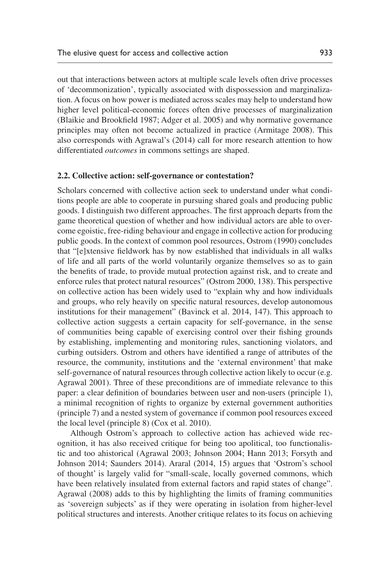out that interactions between actors at multiple scale levels often drive processes of 'decommonization', typically associated with dispossession and marginalization. A focus on how power is mediated across scales may help to understand how higher level political-economic forces often drive processes of marginalization [\(Blaikie and Brookfield 1987;](#page-21-3) [Adger et](#page-20-1) al. 2005) and why normative governance principles may often not become actualized in practice ([Armitage 2008](#page-21-2)). This also corresponds with [Agrawal's \(2014\)](#page-21-4) call for more research attention to how differentiated *outcomes* in commons settings are shaped.

### **2.2. Collective action: self-governance or contestation?**

Scholars concerned with collective action seek to understand under what conditions people are able to cooperate in pursuing shared goals and producing public goods. I distinguish two different approaches. The first approach departs from the game theoretical question of whether and how individual actors are able to overcome egoistic, free-riding behaviour and engage in collective action for producing public goods. In the context of common pool resources, Ostrom (1990) concludes that "[e]xtensive fieldwork has by now established that individuals in all walks of life and all parts of the world voluntarily organize themselves so as to gain the benefits of trade, to provide mutual protection against risk, and to create and enforce rules that protect natural resources" (Ostrom 2000, 138). This perspective on collective action has been widely used to "explain why and how individuals and groups, who rely heavily on specific natural resources, develop autonomous institutions for their management" (Bavinck et [al. 2014, 147\)](#page-21-1). This approach to collective action suggests a certain capacity for self-governance, in the sense of communities being capable of exercising control over their fishing grounds by establishing, implementing and monitoring rules, sanctioning violators, and curbing outsiders. Ostrom and others have identified a range of attributes of the resource, the community, institutions and the 'external environment' that make self-governance of natural resources through collective action likely to occur (e.g. [Agrawal 2001](#page-20-2)). Three of these preconditions are of immediate relevance to this paper: a clear definition of boundaries between user and non-users (principle 1), a minimal recognition of rights to organize by external government authorities (principle 7) and a nested system of governance if common pool resources exceed the local level (principle 8) (Cox et al. 2010).

Although Ostrom's approach to collective action has achieved wide recognition, it has also received critique for being too apolitical, too functionalistic and too ahistorical [\(Agrawal 2003](#page-20-0); [Johnson 2004](#page-22-3); [Hann 2013](#page-22-5); [Forsyth and](#page-21-5) [Johnson 2014;](#page-21-5) [Saunders 2014\)](#page-22-6). [Araral \(2014, 15\)](#page-21-6) argues that 'Ostrom's school of thought' is largely valid for "small-scale, locally governed commons, which have been relatively insulated from external factors and rapid states of change". [Agrawal \(2008\)](#page-20-3) adds to this by highlighting the limits of framing communities as 'sovereign subjects' as if they were operating in isolation from higher-level political structures and interests. Another critique relates to its focus on achieving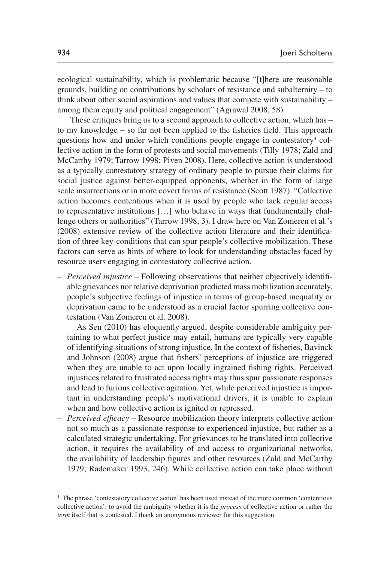ecological sustainability, which is problematic because "[t]here are reasonable grounds, building on contributions by scholars of resistance and subalternity – to think about other social aspirations and values that compete with sustainability – among them equity and political engagement" ([Agrawal 2008, 58](#page-20-3)).

These critiques bring us to a second approach to collective action, which has – to my knowledge – so far not been applied to the fisheries field. This approach questions how and under which conditions people engage in contestatory<sup>4</sup> collective action in the form of protests and social movements ([Tilly 1978;](#page-23-2) [Zald and](#page-24-1) [McCarthy 1979;](#page-24-1) [Tarrow 1998;](#page-23-3) [Piven 2008\)](#page-22-7). Here, collective action is understood as a typically contestatory strategy of ordinary people to pursue their claims for social justice against better-equipped opponents, whether in the form of large scale insurrections or in more covert forms of resistance ([Scott 1987\)](#page-23-4). "Collective action becomes contentious when it is used by people who lack regular access to representative institutions […] who behave in ways that fundamentally challenge others or authorities" [\(Tarrow 1998, 3\)](#page-23-3). I draw here on [Van Zomeren et](#page-23-5) al.'s [\(2008\)](#page-23-5) extensive review of the collective action literature and their identification of three key-conditions that can spur people's collective mobilization. These factors can serve as hints of where to look for understanding obstacles faced by resource users engaging in contestatory collective action.

– *Perceived injustice* – Following observations that neither objectively identifiable grievances nor relative deprivation predicted mass mobilization accurately, people's subjective feelings of injustice in terms of group-based inequality or deprivation came to be understood as a crucial factor spurring collective contestation ([Van Zomeren et](#page-23-5) al. 2008).

As [Sen \(2010\)](#page-23-6) has eloquently argued, despite considerable ambiguity pertaining to what perfect justice may entail, humans are typically very capable of identifying situations of strong injustice. In the context of fisheries, [Bavinck](#page-21-7)  [and Johnson \(2008\)](#page-21-7) argue that fishers' perceptions of injustice are triggered when they are unable to act upon locally ingrained fishing rights. Perceived injustices related to frustrated access rights may thus spur passionate responses and lead to furious collective agitation. Yet, while perceived injustice is important in understanding people's motivational drivers, it is unable to explain when and how collective action is ignited or repressed.

– *Perceived efficacy* – Resource mobilization theory interprets collective action not so much as a passionate response to experienced injustice, but rather as a calculated strategic undertaking. For grievances to be translated into collective action, it requires the availability of and access to organizational networks, the availability of leadership figures and other resources ([Zald and McCarthy](#page-24-1) [1979;](#page-24-1) [Rademaker 1993, 246\)](#page-22-8). While collective action can take place without

<sup>4</sup> The phrase 'contestatory collective action' has been used instead of the more common 'contentious collective action', to avoid the ambiguity whether it is the *process* of collective action or rather the *term* itself that is contested. I thank an anonymous reviewer for this suggestion.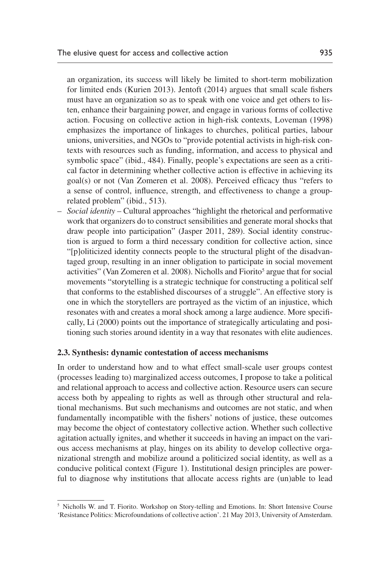an organization, its success will likely be limited to short-term mobilization for limited ends ([Kurien 2013](#page-22-1)). [Jentoft \(2014\)](#page-22-9) argues that small scale fishers must have an organization so as to speak with one voice and get others to listen, enhance their bargaining power, and engage in various forms of collective action. Focusing on collective action in high-risk contexts, [Loveman \(1998\)](#page-22-10) emphasizes the importance of linkages to churches, political parties, labour unions, universities, and NGOs to "provide potential activists in high-risk contexts with resources such as funding, information, and access to physical and symbolic space" (ibid., 484). Finally, people's expectations are seen as a critical factor in determining whether collective action is effective in achieving its goal(s) or not [\(Van Zomeren et](#page-23-5) al. 2008). Perceived efficacy thus "refers to a sense of control, influence, strength, and effectiveness to change a grouprelated problem" (ibid., 513).

– *Social identity* – Cultural approaches "highlight the rhetorical and performative work that organizers do to construct sensibilities and generate moral shocks that draw people into participation" [\(Jasper 2011, 289\)](#page-22-11). Social identity construction is argued to form a third necessary condition for collective action, since "[p]oliticized identity connects people to the structural plight of the disadvantaged group, resulting in an inner obligation to participate in social movement activities" ([Van Zomeren et](#page-23-5) al. 2008). Nicholls and Fiorito<sup>5</sup> argue that for social movements "storytelling is a strategic technique for constructing a political self that conforms to the established discourses of a struggle". An effective story is one in which the storytellers are portrayed as the victim of an injustice, which resonates with and creates a moral shock among a large audience. More specifically, [Li \(2000\)](#page-22-12) points out the importance of strategically articulating and positioning such stories around identity in a way that resonates with elite audiences.

#### **2.3. Synthesis: dynamic contestation of access mechanisms**

In order to understand how and to what effect small-scale user groups contest (processes leading to) marginalized access outcomes, I propose to take a political and relational approach to access and collective action. Resource users can secure access both by appealing to rights as well as through other structural and relational mechanisms. But such mechanisms and outcomes are not static, and when fundamentally incompatible with the fishers' notions of justice, these outcomes may become the object of contestatory collective action. Whether such collective agitation actually ignites, and whether it succeeds in having an impact on the various access mechanisms at play, hinges on its ability to develop collective organizational strength and mobilize around a politicized social identity, as well as a conducive political context ([Figure 1\)](#page-8-0). Institutional design principles are powerful to diagnose why institutions that allocate access rights are (un)able to lead

<sup>&</sup>lt;sup>5</sup> Nicholls W. and T. Fiorito. Workshop on Story-telling and Emotions. In: Short Intensive Course 'Resistance Politics: Microfoundations of collective action'. 21 May 2013, University of Amsterdam.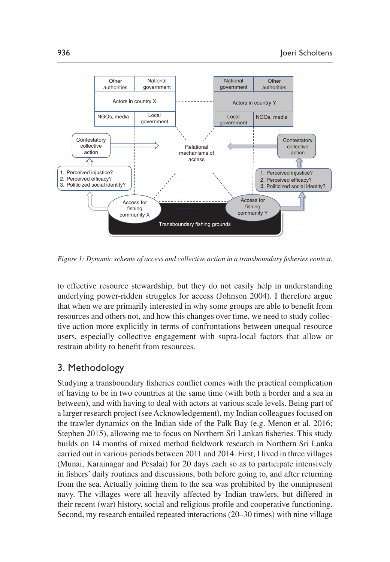

<span id="page-8-0"></span>*Figure 1: Dynamic scheme of access and collective action in a transboundary fisheries context.*

to effective resource stewardship, but they do not easily help in understanding underlying power-ridden struggles for access ([Johnson 2004\)](#page-22-3). I therefore argue that when we are primarily interested in why some groups are able to benefit from resources and others not, and how this changes over time, we need to study collective action more explicitly in terms of confrontations between unequal resource users, especially collective engagement with supra-local factors that allow or restrain ability to benefit from resources.

### 3. Methodology

Studying a transboundary fisheries conflict comes with the practical complication of having to be in two countries at the same time (with both a border and a sea in between), and with having to deal with actors at various scale levels. Being part of a larger research project (see Acknowledgement), my Indian colleagues focused on the trawler dynamics on the Indian side of the Palk Bay (e.g. [Menon et](#page-22-13) al. 2016; [Stephen 2015\)](#page-23-7), allowing me to focus on Northern Sri Lankan fisheries. This study builds on 14 months of mixed method fieldwork research in Northern Sri Lanka carried out in various periods between 2011 and 2014. First, I lived in three villages (Munai, Karainagar and Pesalai) for 20 days each so as to participate intensively in fishers' daily routines and discussions, both before going to, and after returning from the sea. Actually joining them to the sea was prohibited by the omnipresent navy. The villages were all heavily affected by Indian trawlers, but differed in their recent (war) history, social and religious profile and cooperative functioning. Second, my research entailed repeated interactions (20–30 times) with nine village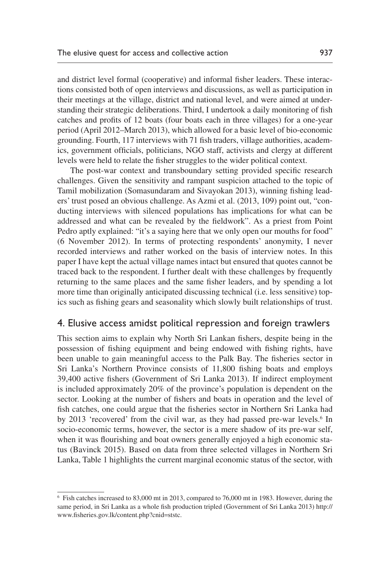and district level formal (cooperative) and informal fisher leaders. These interactions consisted both of open interviews and discussions, as well as participation in their meetings at the village, district and national level, and were aimed at understanding their strategic deliberations. Third, I undertook a daily monitoring of fish catches and profits of 12 boats (four boats each in three villages) for a one-year period (April 2012–March 2013), which allowed for a basic level of bio-economic grounding. Fourth, 117 interviews with 71 fish traders, village authorities, academics, government officials, politicians, NGO staff, activists and clergy at different levels were held to relate the fisher struggles to the wider political context.

The post-war context and transboundary setting provided specific research challenges. Given the sensitivity and rampant suspicion attached to the topic of Tamil mobilization ([Somasundaram and Sivayokan 2013\)](#page-23-8), winning fishing leaders' trust posed an obvious challenge. As Azmi et [al. \(2013, 109\)](#page-21-8) point out, "conducting interviews with silenced populations has implications for what can be addressed and what can be revealed by the fieldwork". As a priest from Point Pedro aptly explained: "it's a saying here that we only open our mouths for food" (6 November 2012). In terms of protecting respondents' anonymity, I never recorded interviews and rather worked on the basis of interview notes. In this paper I have kept the actual village names intact but ensured that quotes cannot be traced back to the respondent. I further dealt with these challenges by frequently returning to the same places and the same fisher leaders, and by spending a lot more time than originally anticipated discussing technical (i.e. less sensitive) topics such as fishing gears and seasonality which slowly built relationships of trust.

### 4. Elusive access amidst political repression and foreign trawlers

This section aims to explain why North Sri Lankan fishers, despite being in the possession of fishing equipment and being endowed with fishing rights, have been unable to gain meaningful access to the Palk Bay. The fisheries sector in Sri Lanka's Northern Province consists of 11,800 fishing boats and employs 39,400 active fishers (Government of Sri Lanka 2013). If indirect employment is included approximately 20% of the province's population is dependent on the sector. Looking at the number of fishers and boats in operation and the level of fish catches, one could argue that the fisheries sector in Northern Sri Lanka had by 2013 'recovered' from the civil war, as they had passed pre-war levels.<sup>6</sup> In socio-economic terms, however, the sector is a mere shadow of its pre-war self, when it was flourishing and boat owners generally enjoyed a high economic status [\(Bavinck 2015\)](#page-21-9). Based on data from three selected villages in Northern Sri Lanka, [Table 1](#page-10-0) highlights the current marginal economic status of the sector, with

<sup>6</sup> Fish catches increased to 83,000 mt in 2013, compared to 76,000 mt in 1983. However, during the same period, in Sri Lanka as a whole fish production tripled (Government of Sri Lanka 2013) [http://](http://www.fisheries.gov.lk/content.php?cnid=ststc) [www.fisheries.gov.lk/content.php?cnid](http://www.fisheries.gov.lk/content.php?cnid=ststc)=ststc.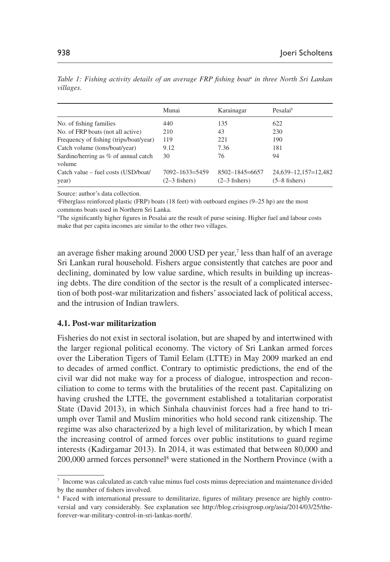|                                                | Munai                                   | Karainagar                              | Pesalai <sup>b</sup>                    |
|------------------------------------------------|-----------------------------------------|-----------------------------------------|-----------------------------------------|
| No. of fishing families                        | 440                                     | 135                                     | 622                                     |
| No. of FRP boats (not all active)              | 210                                     | 43                                      | 230                                     |
| Frequency of fishing (trips/boat/year)         | 119                                     | 221                                     | 190                                     |
| Catch volume (tons/boat/year)                  | 9.12                                    | 7.36                                    | 181                                     |
| Sardine/herring as % of annual catch<br>volume | 30                                      | 76                                      | 94                                      |
| Catch value - fuel costs (USD/boat/<br>year)   | $7092 - 1633 = 5459$<br>$(2-3$ fishers) | $8502 - 1845 = 6657$<br>$(2-3$ fishers) | 24,639-12,157=12,482<br>$(5-8$ fishers) |

<span id="page-10-0"></span>*Table 1: Fishing activity details of an average FRP fishing boat*<sup>a</sup>  *in three North Sri Lankan villages.*

Source: author's data collection.

a Fiberglass reinforced plastic (FRP) boats (18 feet) with outboard engines (9–25 hp) are the most commons boats used in Northern Sri Lanka.

b The significantly higher figures in Pesalai are the result of purse seining. Higher fuel and labour costs make that per capita incomes are similar to the other two villages.

an average fisher making around 2000 USD per year,<sup>7</sup> less than half of an average Sri Lankan rural household. Fishers argue consistently that catches are poor and declining, dominated by low value sardine, which results in building up increasing debts. The dire condition of the sector is the result of a complicated intersection of both post-war militarization and fishers' associated lack of political access, and the intrusion of Indian trawlers.

#### **4.1. Post-war militarization**

Fisheries do not exist in sectoral isolation, but are shaped by and intertwined with the larger regional political economy. The victory of Sri Lankan armed forces over the Liberation Tigers of Tamil Eelam (LTTE) in May 2009 marked an end to decades of armed conflict. Contrary to optimistic predictions, the end of the civil war did not make way for a process of dialogue, introspection and reconciliation to come to terms with the brutalities of the recent past. Capitalizing on having crushed the LTTE, the government established a totalitarian corporatist State [\(David 2013\)](#page-21-10), in which Sinhala chauvinist forces had a free hand to triumph over Tamil and Muslim minorities who hold second rank citizenship. The regime was also characterized by a high level of militarization, by which I mean the increasing control of armed forces over public institutions to guard regime interests ([Kadirgamar 2013\)](#page-22-14). In 2014, it was estimated that between 80,000 and 200,000 armed forces personnel8 were stationed in the Northern Province (with a

<sup>7</sup> Income was calculated as catch value minus fuel costs minus depreciation and maintenance divided by the number of fishers involved.

<sup>8</sup> Faced with international pressure to demilitarize, figures of military presence are highly controversial and vary considerably. See explanation see [http://blog.crisisgroup.org/asia/2014/03/25/the](http://blog.crisisgroup.org/asia/2014/03/25/the-forever-war-military-control-in-sri-lankas-north/)[forever-war-military-control-in-sri-lankas-north/.](http://blog.crisisgroup.org/asia/2014/03/25/the-forever-war-military-control-in-sri-lankas-north/)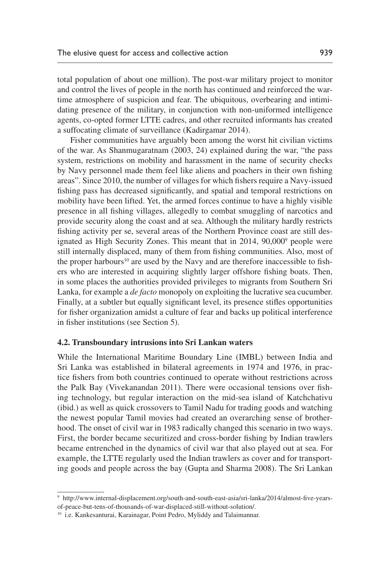total population of about one million). The post-war military project to monitor and control the lives of people in the north has continued and reinforced the wartime atmosphere of suspicion and fear. The ubiquitous, overbearing and intimidating presence of the military, in conjunction with non-uniformed intelligence agents, co-opted former LTTE cadres, and other recruited informants has created a suffocating climate of surveillance ([Kadirgamar 2014](#page-22-15)).

Fisher communities have arguably been among the worst hit civilian victims of the war. As [Shanmugaratnam \(2003, 24\)](#page-23-9) explained during the war, "the pass system, restrictions on mobility and harassment in the name of security checks by Navy personnel made them feel like aliens and poachers in their own fishing areas". Since 2010, the number of villages for which fishers require a Navy-issued fishing pass has decreased significantly, and spatial and temporal restrictions on mobility have been lifted. Yet, the armed forces continue to have a highly visible presence in all fishing villages, allegedly to combat smuggling of narcotics and provide security along the coast and at sea. Although the military hardly restricts fishing activity per se, several areas of the Northern Province coast are still designated as High Security Zones. This meant that in 2014, 90,0009 people were still internally displaced, many of them from fishing communities. Also, most of the proper harbours<sup>10</sup> are used by the Navy and are therefore inaccessible to fishers who are interested in acquiring slightly larger offshore fishing boats. Then, in some places the authorities provided privileges to migrants from Southern Sri Lanka, for example a *de facto* monopoly on exploiting the lucrative sea cucumber. Finally, at a subtler but equally significant level, its presence stifles opportunities for fisher organization amidst a culture of fear and backs up political interference in fisher institutions (see Section 5).

#### **4.2. Transboundary intrusions into Sri Lankan waters**

While the International Maritime Boundary Line (IMBL) between India and Sri Lanka was established in bilateral agreements in 1974 and 1976, in practice fishers from both countries continued to operate without restrictions across the Palk Bay ([Vivekanandan 2011\)](#page-23-10). There were occasional tensions over fishing technology, but regular interaction on the mid-sea island of Katchchativu (ibid.) as well as quick crossovers to Tamil Nadu for trading goods and watching the newest popular Tamil movies had created an overarching sense of brotherhood. The onset of civil war in 1983 radically changed this scenario in two ways. First, the border became securitized and cross-border fishing by Indian trawlers became entrenched in the dynamics of civil war that also played out at sea. For example, the LTTE regularly used the Indian trawlers as cover and for transporting goods and people across the bay [\(Gupta and Sharma 2008\)](#page-21-11). The Sri Lankan

<sup>9</sup> [http://www.internal-displacement.org/south-and-south-east-asia/sri-lanka/2014/almost-five-years](http://www.internal-displacement.org/south-and-south-east-asia/sri-lanka/2014/almost-five-years-of-peace-but-tens-of-thousands-of-war-displaced-still-without-solution/)[of-peace-but-tens-of-thousands-of-war-displaced-still-without-solution/](http://www.internal-displacement.org/south-and-south-east-asia/sri-lanka/2014/almost-five-years-of-peace-but-tens-of-thousands-of-war-displaced-still-without-solution/).

<sup>10</sup> i.e. Kankesanturai, Karainagar, Point Pedro, Myliddy and Talaimannar.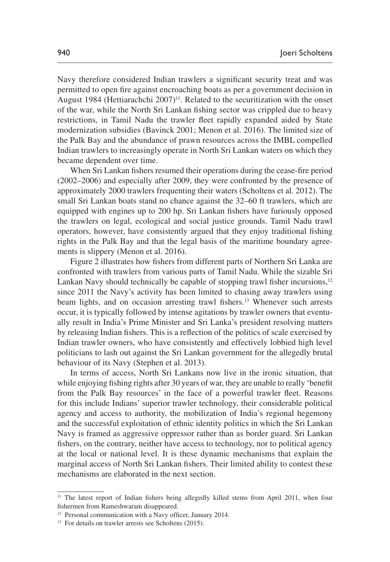Navy therefore considered Indian trawlers a significant security treat and was permitted to open fire against encroaching boats as per a government decision in August 1984 ([Hettiarachchi 2007](#page-22-16))<sup>11</sup>. Related to the securitization with the onset of the war, while the North Sri Lankan fishing sector was crippled due to heavy restrictions, in Tamil Nadu the trawler fleet rapidly expanded aided by State modernization subsidies [\(Bavinck 2001](#page-21-12); [Menon et](#page-22-13) al. 2016). The limited size of the Palk Bay and the abundance of prawn resources across the IMBL compelled Indian trawlers to increasingly operate in North Sri Lankan waters on which they became dependent over time.

When Sri Lankan fishers resumed their operations during the cease-fire period (2002–2006) and especially after 2009, they were confronted by the presence of approximately 2000 trawlers frequenting their waters [\(Scholtens et](#page-23-11) al. 2012). The small Sri Lankan boats stand no chance against the 32–60 ft trawlers, which are equipped with engines up to 200 hp. Sri Lankan fishers have furiously opposed the trawlers on legal, ecological and social justice grounds. Tamil Nadu trawl operators, however, have consistently argued that they enjoy traditional fishing rights in the Palk Bay and that the legal basis of the maritime boundary agreements is slippery [\(Menon et](#page-22-13) al. 2016).

[Figure 2](#page-13-0) illustrates how fishers from different parts of Northern Sri Lanka are confronted with trawlers from various parts of Tamil Nadu. While the sizable Sri Lankan Navy should technically be capable of stopping trawl fisher incursions,<sup>12</sup> since 2011 the Navy's activity has been limited to chasing away trawlers using beam lights, and on occasion arresting trawl fishers.<sup>13</sup> Whenever such arrests occur, it is typically followed by intense agitations by trawler owners that eventually result in India's Prime Minister and Sri Lanka's president resolving matters by releasing Indian fishers. This is a reflection of the politics of scale exercised by Indian trawler owners, who have consistently and effectively lobbied high level politicians to lash out against the Sri Lankan government for the allegedly brutal behaviour of its Navy [\(Stephen et](#page-23-12) al. 2013).

In terms of access, North Sri Lankans now live in the ironic situation, that while enjoying fishing rights after 30 years of war, they are unable to really 'benefit from the Palk Bay resources' in the face of a powerful trawler fleet. Reasons for this include Indians' superior trawler technology, their considerable political agency and access to authority, the mobilization of India's regional hegemony and the successful exploitation of ethnic identity politics in which the Sri Lankan Navy is framed as aggressive oppressor rather than as border guard. Sri Lankan fishers, on the contrary, neither have access to technology, nor to political agency at the local or national level. It is these dynamic mechanisms that explain the marginal access of North Sri Lankan fishers. Their limited ability to contest these mechanisms are elaborated in the next section.

<sup>&</sup>lt;sup>11</sup> The latest report of Indian fishers being allegedly killed stems from April 2011, when four fishermen from Rameshwaram disappeared.

<sup>&</sup>lt;sup>12</sup> Personal communication with a Navy officer, January 2014.

<sup>&</sup>lt;sup>13</sup> For details on trawler arrests see [Scholtens \(2015\)](#page-23-13).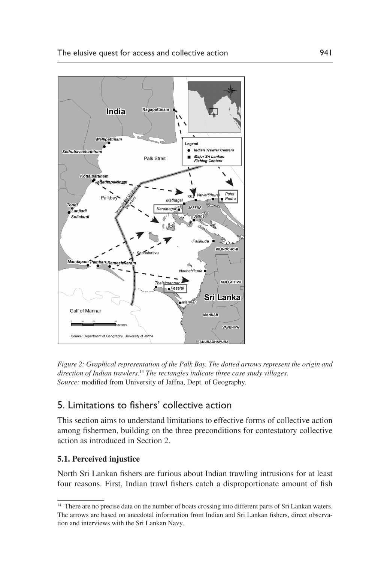

<span id="page-13-0"></span>*Figure 2: Graphical representation of the Palk Bay. The dotted arrows represent the origin and direction of Indian trawlers.*14 *The rectangles indicate three case study villages. Source:* modified from University of Jaffna, Dept. of Geography.

# 5. Limitations to fishers' collective action

This section aims to understand limitations to effective forms of collective action among fishermen, building on the three preconditions for contestatory collective action as introduced in Section 2.

### **5.1. Perceived injustice**

North Sri Lankan fishers are furious about Indian trawling intrusions for at least four reasons. First, Indian trawl fishers catch a disproportionate amount of fish

<sup>&</sup>lt;sup>14</sup> There are no precise data on the number of boats crossing into different parts of Sri Lankan waters. The arrows are based on anecdotal information from Indian and Sri Lankan fishers, direct observation and interviews with the Sri Lankan Navy.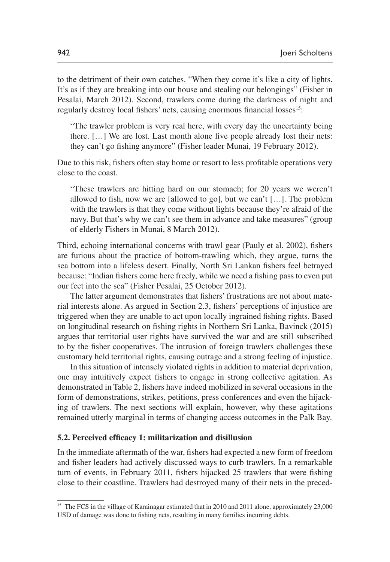to the detriment of their own catches. "When they come it's like a city of lights. It's as if they are breaking into our house and stealing our belongings" (Fisher in Pesalai, March 2012). Second, trawlers come during the darkness of night and regularly destroy local fishers' nets, causing enormous financial losses<sup>15</sup>:

"The trawler problem is very real here, with every day the uncertainty being there. […] We are lost. Last month alone five people already lost their nets: they can't go fishing anymore" (Fisher leader Munai, 19 February 2012).

Due to this risk, fishers often stay home or resort to less profitable operations very close to the coast.

"These trawlers are hitting hard on our stomach; for 20 years we weren't allowed to fish, now we are [allowed to go], but we can't […]. The problem with the trawlers is that they come without lights because they're afraid of the navy. But that's why we can't see them in advance and take measures" (group of elderly Fishers in Munai, 8 March 2012).

Third, echoing international concerns with trawl gear (Pauly et al. 2002), fishers are furious about the practice of bottom-trawling which, they argue, turns the sea bottom into a lifeless desert. Finally, North Sri Lankan fishers feel betrayed because: "Indian fishers come here freely, while we need a fishing pass to even put our feet into the sea" (Fisher Pesalai, 25 October 2012).

The latter argument demonstrates that fishers' frustrations are not about material interests alone. As argued in Section 2.3, fishers' perceptions of injustice are triggered when they are unable to act upon locally ingrained fishing rights. Based on longitudinal research on fishing rights in Northern Sri Lanka, [Bavinck \(2015\)](#page-21-9) argues that territorial user rights have survived the war and are still subscribed to by the fisher cooperatives. The intrusion of foreign trawlers challenges these customary held territorial rights, causing outrage and a strong feeling of injustice.

In this situation of intensely violated rights in addition to material deprivation, one may intuitively expect fishers to engage in strong collective agitation. As demonstrated in [Table 2,](#page-15-0) fishers have indeed mobilized in several occasions in the form of demonstrations, strikes, petitions, press conferences and even the hijacking of trawlers. The next sections will explain, however, why these agitations remained utterly marginal in terms of changing access outcomes in the Palk Bay.

### **5.2. Perceived efficacy 1: militarization and disillusion**

In the immediate aftermath of the war, fishers had expected a new form of freedom and fisher leaders had actively discussed ways to curb trawlers. In a remarkable turn of events, in February 2011, fishers hijacked 25 trawlers that were fishing close to their coastline. Trawlers had destroyed many of their nets in the preced-

<sup>&</sup>lt;sup>15</sup> The FCS in the village of Karainagar estimated that in 2010 and 2011 alone, approximately 23,000 USD of damage was done to fishing nets, resulting in many families incurring debts.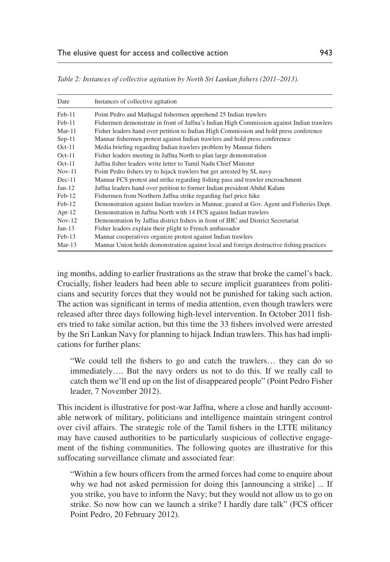| Date      | Instances of collective agitation                                                         |  |  |
|-----------|-------------------------------------------------------------------------------------------|--|--|
| Feb-11    | Point Pedro and Mathagal fishermen apprehend 25 Indian trawlers                           |  |  |
| Feb-11    | Fishermen demonstrate in front of Jaffna's Indian High Commission against Indian trawlers |  |  |
| $Mar-11$  | Fisher leaders hand over petition to Indian High Commission and hold press conference     |  |  |
| $Sep-11$  | Mannar fishermen protest against Indian trawlers and hold press conference                |  |  |
| $Oct-11$  | Media briefing regarding Indian trawlers problem by Mannar fishers                        |  |  |
| $Oct-11$  | Fisher leaders meeting in Jaffna North to plan large demonstration                        |  |  |
| $Oct-11$  | Jaffna fisher leaders write letter to Tamil Nadu Chief Minister                           |  |  |
| $Nov-11$  | Point Pedro fishers try to hijack trawlers but get arrested by SL navy                    |  |  |
| $Dec-11$  | Mannar FCS protest and strike regarding fishing pass and trawler encroachment             |  |  |
| $Jan-12$  | Jaffna leaders hand over petition to former Indian president Abdul Kalam                  |  |  |
| $Feb-12$  | Fishermen from Northern Jaffna strike regarding fuel price hike                           |  |  |
| $Feb-12$  | Demonstration against Indian trawlers in Mannar, geared at Gov. Agent and Fisheries Dept. |  |  |
| Apr- $12$ | Demonstration in Jaffna North with 14 FCS against Indian trawlers                         |  |  |
| $Nov-12$  | Demonstration by Jaffna district fishers in front of IHC and District Secretariat         |  |  |
| $Jan-13$  | Fisher leaders explain their plight to French ambassador                                  |  |  |
| $Feb-13$  | Mannar cooperatives organize protest against Indian trawlers                              |  |  |
| $Mar-13$  | Mannar Union holds demonstration against local and foreign destructive fishing practices  |  |  |

<span id="page-15-0"></span>*Table 2: Instances of collective agitation by North Sri Lankan fishers (2011–2013).*

ing months, adding to earlier frustrations as the straw that broke the camel's back. Crucially, fisher leaders had been able to secure implicit guarantees from politicians and security forces that they would not be punished for taking such action. The action was significant in terms of media attention, even though trawlers were released after three days following high-level intervention. In October 2011 fishers tried to take similar action, but this time the 33 fishers involved were arrested by the Sri Lankan Navy for planning to hijack Indian trawlers. This has had implications for further plans:

"We could tell the fishers to go and catch the trawlers… they can do so immediately…. But the navy orders us not to do this. If we really call to catch them we'll end up on the list of disappeared people" (Point Pedro Fisher leader, 7 November 2012).

This incident is illustrative for post-war Jaffna, where a close and hardly accountable network of military, politicians and intelligence maintain stringent control over civil affairs. The strategic role of the Tamil fishers in the LTTE militancy may have caused authorities to be particularly suspicious of collective engagement of the fishing communities. The following quotes are illustrative for this suffocating surveillance climate and associated fear:

"Within a few hours officers from the armed forces had come to enquire about why we had not asked permission for doing this [announcing a strike] ... If you strike, you have to inform the Navy; but they would not allow us to go on strike. So now how can we launch a strike? I hardly dare talk" (FCS officer Point Pedro, 20 February 2012).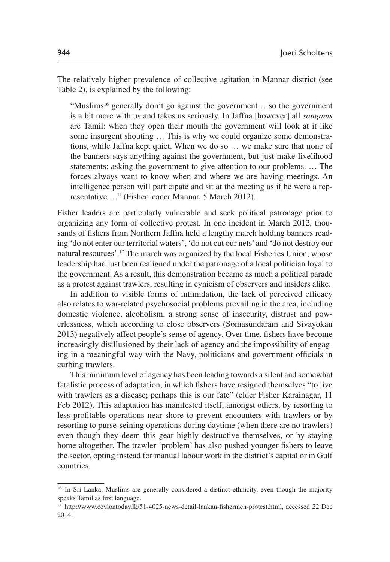The relatively higher prevalence of collective agitation in Mannar district (see [Table 2\)](#page-15-0), is explained by the following:

"Muslims<sup>16</sup> generally don't go against the government... so the government is a bit more with us and takes us seriously. In Jaffna [however] all *sangams* are Tamil: when they open their mouth the government will look at it like some insurgent shouting … This is why we could organize some demonstrations, while Jaffna kept quiet. When we do so … we make sure that none of the banners says anything against the government, but just make livelihood statements; asking the government to give attention to our problems. … The forces always want to know when and where we are having meetings. An intelligence person will participate and sit at the meeting as if he were a representative …" (Fisher leader Mannar, 5 March 2012).

Fisher leaders are particularly vulnerable and seek political patronage prior to organizing any form of collective protest. In one incident in March 2012, thousands of fishers from Northern Jaffna held a lengthy march holding banners reading 'do not enter our territorial waters', 'do not cut our nets' and 'do not destroy our natural resources'.17 The march was organized by the local Fisheries Union, whose leadership had just been realigned under the patronage of a local politician loyal to the government. As a result, this demonstration became as much a political parade as a protest against trawlers, resulting in cynicism of observers and insiders alike.

In addition to visible forms of intimidation, the lack of perceived efficacy also relates to war-related psychosocial problems prevailing in the area, including domestic violence, alcoholism, a strong sense of insecurity, distrust and powerlessness, which according to close observers [\(Somasundaram and Sivayokan](#page-23-8) [2013\)](#page-23-8) negatively affect people's sense of agency. Over time, fishers have become increasingly disillusioned by their lack of agency and the impossibility of engaging in a meaningful way with the Navy, politicians and government officials in curbing trawlers.

This minimum level of agency has been leading towards a silent and somewhat fatalistic process of adaptation, in which fishers have resigned themselves "to live with trawlers as a disease; perhaps this is our fate" (elder Fisher Karainagar, 11) Feb 2012). This adaptation has manifested itself, amongst others, by resorting to less profitable operations near shore to prevent encounters with trawlers or by resorting to purse-seining operations during daytime (when there are no trawlers) even though they deem this gear highly destructive themselves, or by staying home altogether. The trawler 'problem' has also pushed younger fishers to leave the sector, opting instead for manual labour work in the district's capital or in Gulf countries.

<sup>&</sup>lt;sup>16</sup> In Sri Lanka, Muslims are generally considered a distinct ethnicity, even though the majority speaks Tamil as first language.

<sup>17</sup> <http://www.ceylontoday.lk/51-4025-news-detail-lankan-fishermen-protest.html>, accessed 22 Dec 2014.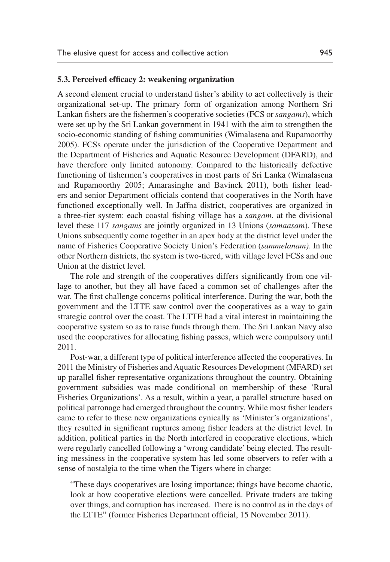#### **5.3. Perceived efficacy 2: weakening organization**

A second element crucial to understand fisher's ability to act collectively is their organizational set-up. The primary form of organization among Northern Sri Lankan fishers are the fishermen's cooperative societies (FCS or *sangams*), which were set up by the Sri Lankan government in 1941 with the aim to strengthen the socio-economic standing of fishing communities [\(Wimalasena and Rupamoorthy](#page-24-2) [2005\)](#page-24-2). FCSs operate under the jurisdiction of the Cooperative Department and the Department of Fisheries and Aquatic Resource Development (DFARD), and have therefore only limited autonomy. Compared to the historically defective functioning of fishermen's cooperatives in most parts of Sri Lanka ([Wimalasena](#page-24-2) [and Rupamoorthy 2005](#page-24-2); [Amarasinghe and Bavinck 2011\)](#page-21-13), both fisher leaders and senior Department officials contend that cooperatives in the North have functioned exceptionally well. In Jaffna district, cooperatives are organized in a three-tier system: each coastal fishing village has a *sangam*, at the divisional level these 117 *sangams* are jointly organized in 13 Unions (*samaasam*). These Unions subsequently come together in an apex body at the district level under the name of Fisheries Cooperative Society Union's Federation (*sammelanam)*. In the other Northern districts, the system is two-tiered, with village level FCSs and one Union at the district level.

The role and strength of the cooperatives differs significantly from one village to another, but they all have faced a common set of challenges after the war. The first challenge concerns political interference. During the war, both the government and the LTTE saw control over the cooperatives as a way to gain strategic control over the coast. The LTTE had a vital interest in maintaining the cooperative system so as to raise funds through them. The Sri Lankan Navy also used the cooperatives for allocating fishing passes, which were compulsory until 2011.

Post-war, a different type of political interference affected the cooperatives. In 2011 the Ministry of Fisheries and Aquatic Resources Development (MFARD) set up parallel fisher representative organizations throughout the country. Obtaining government subsidies was made conditional on membership of these 'Rural Fisheries Organizations'. As a result, within a year, a parallel structure based on political patronage had emerged throughout the country. While most fisher leaders came to refer to these new organizations cynically as 'Minister's organizations', they resulted in significant ruptures among fisher leaders at the district level. In addition, political parties in the North interfered in cooperative elections, which were regularly cancelled following a 'wrong candidate' being elected. The resulting messiness in the cooperative system has led some observers to refer with a sense of nostalgia to the time when the Tigers where in charge:

"These days cooperatives are losing importance; things have become chaotic, look at how cooperative elections were cancelled. Private traders are taking over things, and corruption has increased. There is no control as in the days of the LTTE" (former Fisheries Department official, 15 November 2011).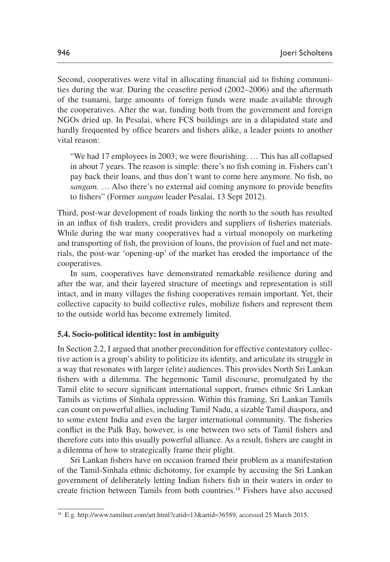Second, cooperatives were vital in allocating financial aid to fishing communities during the war. During the ceasefire period (2002–2006) and the aftermath of the tsunami, large amounts of foreign funds were made available through the cooperatives. After the war, funding both from the government and foreign NGOs dried up. In Pesalai, where FCS buildings are in a dilapidated state and hardly frequented by office bearers and fishers alike, a leader points to another vital reason:

"We had 17 employees in 2003; we were flourishing. … This has all collapsed in about 7 years. The reason is simple: there's no fish coming in. Fishers can't pay back their loans, and thus don't want to come here anymore. No fish, no *sangam.* … Also there's no external aid coming anymore to provide benefits to fishers" (Former *sangam* leader Pesalai, 13 Sept 2012).

Third, post-war development of roads linking the north to the south has resulted in an influx of fish traders, credit providers and suppliers of fisheries materials. While during the war many cooperatives had a virtual monopoly on marketing and transporting of fish, the provision of loans, the provision of fuel and net materials, the post-war 'opening-up' of the market has eroded the importance of the cooperatives.

In sum, cooperatives have demonstrated remarkable resilience during and after the war, and their layered structure of meetings and representation is still intact, and in many villages the fishing cooperatives remain important. Yet, their collective capacity to build collective rules, mobilize fishers and represent them to the outside world has become extremely limited.

### **5.4. Socio-political identity: lost in ambiguity**

In Section 2.2, I argued that another precondition for effective contestatory collective action is a group's ability to politicize its identity, and articulate its struggle in a way that resonates with larger (elite) audiences. This provides North Sri Lankan fishers with a dilemma. The hegemonic Tamil discourse, promulgated by the Tamil elite to secure significant international support, frames ethnic Sri Lankan Tamils as victims of Sinhala oppression. Within this framing, Sri Lankan Tamils can count on powerful allies, including Tamil Nadu, a sizable Tamil diaspora, and to some extent India and even the larger international community. The fisheries conflict in the Palk Bay, however, is one between two sets of Tamil fishers and therefore cuts into this usually powerful alliance. As a result, fishers are caught in a dilemma of how to strategically frame their plight.

Sri Lankan fishers have on occasion framed their problem as a manifestation of the Tamil-Sinhala ethnic dichotomy, for example by accusing the Sri Lankan government of deliberately letting Indian fishers fish in their waters in order to create friction between Tamils from both countries.18 Fishers have also accused

<sup>&</sup>lt;sup>18</sup> E.g. [http://www.tamilnet.com/art.html?catid](http://www.tamilnet.com/art.html?catid=13&artid=36589)=13&artid=36589, accessed 25 March 2015.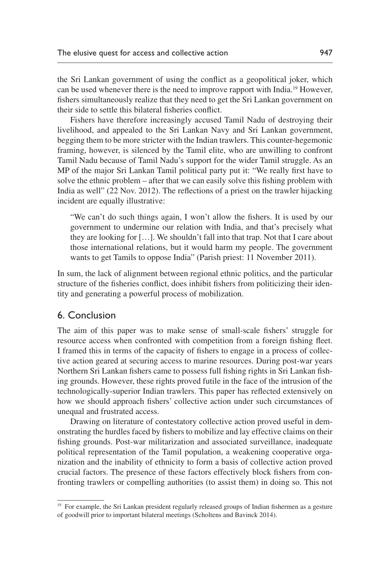the Sri Lankan government of using the conflict as a geopolitical joker, which can be used whenever there is the need to improve rapport with India.19 However, fishers simultaneously realize that they need to get the Sri Lankan government on their side to settle this bilateral fisheries conflict.

Fishers have therefore increasingly accused Tamil Nadu of destroying their livelihood, and appealed to the Sri Lankan Navy and Sri Lankan government, begging them to be more stricter with the Indian trawlers. This counter-hegemonic framing, however, is silenced by the Tamil elite, who are unwilling to confront Tamil Nadu because of Tamil Nadu's support for the wider Tamil struggle. As an MP of the major Sri Lankan Tamil political party put it: "We really first have to solve the ethnic problem – after that we can easily solve this fishing problem with India as well" (22 Nov. 2012). The reflections of a priest on the trawler hijacking incident are equally illustrative:

"We can't do such things again, I won't allow the fishers. It is used by our government to undermine our relation with India, and that's precisely what they are looking for […]. We shouldn't fall into that trap. Not that I care about those international relations, but it would harm my people. The government wants to get Tamils to oppose India" (Parish priest: 11 November 2011).

In sum, the lack of alignment between regional ethnic politics, and the particular structure of the fisheries conflict, does inhibit fishers from politicizing their identity and generating a powerful process of mobilization.

### 6. Conclusion

The aim of this paper was to make sense of small-scale fishers' struggle for resource access when confronted with competition from a foreign fishing fleet. I framed this in terms of the capacity of fishers to engage in a process of collective action geared at securing access to marine resources. During post-war years Northern Sri Lankan fishers came to possess full fishing rights in Sri Lankan fishing grounds. However, these rights proved futile in the face of the intrusion of the technologically-superior Indian trawlers. This paper has reflected extensively on how we should approach fishers' collective action under such circumstances of unequal and frustrated access.

Drawing on literature of contestatory collective action proved useful in demonstrating the hurdles faced by fishers to mobilize and lay effective claims on their fishing grounds. Post-war militarization and associated surveillance, inadequate political representation of the Tamil population, a weakening cooperative organization and the inability of ethnicity to form a basis of collective action proved crucial factors. The presence of these factors effectively block fishers from confronting trawlers or compelling authorities (to assist them) in doing so. This not

<sup>&</sup>lt;sup>19</sup> For example, the Sri Lankan president regularly released groups of Indian fishermen as a gesture of goodwill prior to important bilateral meetings ([Scholtens and Bavinck 2014\)](#page-23-14).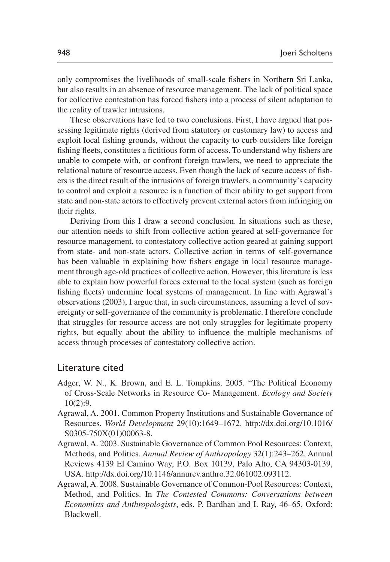only compromises the livelihoods of small-scale fishers in Northern Sri Lanka, but also results in an absence of resource management. The lack of political space for collective contestation has forced fishers into a process of silent adaptation to the reality of trawler intrusions.

These observations have led to two conclusions. First, I have argued that possessing legitimate rights (derived from statutory or customary law) to access and exploit local fishing grounds, without the capacity to curb outsiders like foreign fishing fleets, constitutes a fictitious form of access. To understand why fishers are unable to compete with, or confront foreign trawlers, we need to appreciate the relational nature of resource access. Even though the lack of secure access of fishers is the direct result of the intrusions of foreign trawlers, a community's capacity to control and exploit a resource is a function of their ability to get support from state and non-state actors to effectively prevent external actors from infringing on their rights.

Deriving from this I draw a second conclusion. In situations such as these, our attention needs to shift from collective action geared at self-governance for resource management, to contestatory collective action geared at gaining support from state- and non-state actors. Collective action in terms of self-governance has been valuable in explaining how fishers engage in local resource management through age-old practices of collective action. However, this literature is less able to explain how powerful forces external to the local system (such as foreign fishing fleets) undermine local systems of management. In line with Agrawal's observations (2003), I argue that, in such circumstances, assuming a level of sovereignty or self-governance of the community is problematic. I therefore conclude that struggles for resource access are not only struggles for legitimate property rights, but equally about the ability to influence the multiple mechanisms of access through processes of contestatory collective action.

### Literature cited

- <span id="page-20-1"></span>Adger, W. N., K. Brown, and E. L. Tompkins. 2005. "The Political Economy of Cross-Scale Networks in Resource Co- Management. *Ecology and Society* 10(2):9.
- <span id="page-20-2"></span>Agrawal, A. 2001. Common Property Institutions and Sustainable Governance of Resources. *World Development* 29(10):1649–1672. [http://dx.doi.org/10.1016/](http://dx.doi.org/10.1016/S0305-750X(01)00063-8) [S0305-750X\(01\)00063-8](http://dx.doi.org/10.1016/S0305-750X(01)00063-8).
- <span id="page-20-0"></span>Agrawal, A. 2003. Sustainable Governance of Common Pool Resources: Context, Methods, and Politics. *Annual Review of Anthropology* 32(1):243–262. Annual Reviews 4139 El Camino Way, P.O. Box 10139, Palo Alto, CA 94303-0139, USA.<http://dx.doi.org/10.1146/annurev.anthro.32.061002.093112>.
- <span id="page-20-3"></span>Agrawal, A. 2008. Sustainable Governance of Common-Pool Resources: Context, Method, and Politics. In *The Contested Commons: Conversations between Economists and Anthropologists*, eds. P. Bardhan and I. Ray, 46–65. Oxford: Blackwell.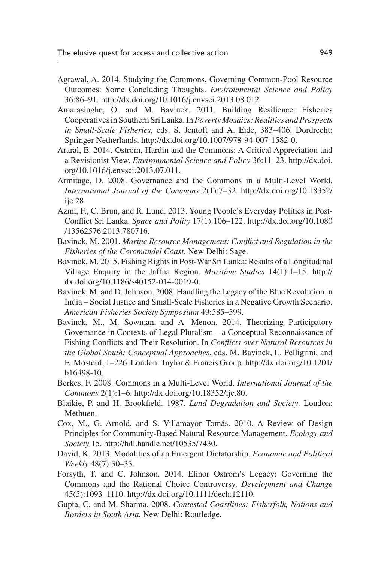- <span id="page-21-4"></span>Agrawal, A. 2014. Studying the Commons, Governing Common-Pool Resource Outcomes: Some Concluding Thoughts. *Environmental Science and Policy* 36:86–91. <http://dx.doi.org/10.1016/j.envsci.2013.08.012>.
- <span id="page-21-13"></span>Amarasinghe, O. and M. Bavinck. 2011. Building Resilience: Fisheries Cooperatives in Southern Sri Lanka. In *Poverty Mosaics: Realities and Prospects in Small-Scale Fisheries*, eds. S. Jentoft and A. Eide, 383–406. Dordrecht: Springer Netherlands. [http://dx.doi.org/10.1007/978-94-007-1582-0.](http://dx.doi.org/10.1007/978-94-007-1582-0)
- <span id="page-21-6"></span>Araral, E. 2014. Ostrom, Hardin and the Commons: A Critical Appreciation and a Revisionist View. *Environmental Science and Policy* 36:11–23. [http://dx.doi.](http://dx.doi.org/10.1016/j.envsci.2013.07.011) [org/10.1016/j.envsci.2013.07.011.](http://dx.doi.org/10.1016/j.envsci.2013.07.011)
- <span id="page-21-2"></span>Armitage, D. 2008. Governance and the Commons in a Multi-Level World. *International Journal of the Commons* 2(1):7–32. http://dx.doi.org/10.18352/ ijc.28.
- <span id="page-21-8"></span>Azmi, F., C. Brun, and R. Lund. 2013. Young People's Everyday Politics in Post-Conflict Sri Lanka. *Space and Polity* 17(1):106–122. [http://dx.doi.org/10.1080](http://dx.doi.org/10.1080/13562576.2013.780716) [/13562576.2013.780716.](http://dx.doi.org/10.1080/13562576.2013.780716)
- <span id="page-21-12"></span>Bavinck, M. 2001. *Marine Resource Management: Conflict and Regulation in the Fisheries of the Coromandel Coast*. New Delhi: Sage.
- <span id="page-21-9"></span>Bavinck, M. 2015. Fishing Rights in Post-War Sri Lanka: Results of a Longitudinal Village Enquiry in the Jaffna Region. *Maritime Studies* 14(1):1–15. http:// dx.doi.org/10.1186/s40152-014-0019-0.
- <span id="page-21-7"></span>Bavinck, M. and D. Johnson. 2008. Handling the Legacy of the Blue Revolution in India – Social Justice and Small-Scale Fisheries in a Negative Growth Scenario. *American Fisheries Society Symposium* 49:585–599.
- <span id="page-21-1"></span>Bavinck, M., M. Sowman, and A. Menon. 2014. Theorizing Participatory Governance in Contexts of Legal Pluralism – a Conceptual Reconnaissance of Fishing Conflicts and Their Resolution. In *Conflicts over Natural Resources in the Global South: Conceptual Approaches*, eds. M. Bavinck, L. Pelligrini, and E. Mosterd, 1–226. London: Taylor & Francis Group. http://dx.doi.org/10.1201/ b16498-10.
- <span id="page-21-0"></span>Berkes, F. 2008. Commons in a Multi-Level World. *International Journal of the Commons* 2(1):1–6. http://dx.doi.org/10.18352/ijc.80.
- <span id="page-21-3"></span>Blaikie, P. and H. Brookfield. 1987. *Land Degradation and Society*. London: Methuen.
- Cox, M., G. Arnold, and S. Villamayor Tomás. 2010. A Review of Design Principles for Community-Based Natural Resource Management. *Ecology and Society* 15. http://hdl.handle.net/10535/7430.
- <span id="page-21-10"></span>David, K. 2013. Modalities of an Emergent Dictatorship. *Economic and Political Weekly* 48(7):30–33.
- <span id="page-21-5"></span>Forsyth, T. and C. Johnson. 2014. Elinor Ostrom's Legacy: Governing the Commons and the Rational Choice Controversy. *Development and Change* 45(5):1093–1110. http://dx.doi.org/10.1111/dech.12110.
- <span id="page-21-11"></span>Gupta, C. and M. Sharma. 2008. *Contested Coastlines: Fisherfolk, Nations and Borders in South Asia.* New Delhi: Routledge.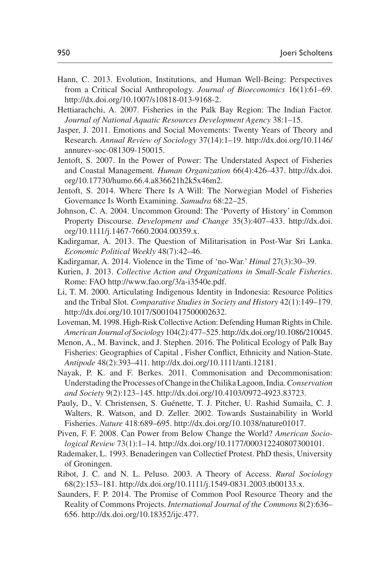- <span id="page-22-5"></span>Hann, C. 2013. Evolution, Institutions, and Human Well-Being: Perspectives from a Critical Social Anthropology. *Journal of Bioeconomics* 16(1):61–69. http://dx.doi.org/10.1007/s10818-013-9168-2.
- <span id="page-22-16"></span>Hettiarachchi, A. 2007. Fisheries in the Palk Bay Region: The Indian Factor. *Journal of National Aquatic Resources Development Agency* 38:1–15.
- <span id="page-22-11"></span>Jasper, J. 2011. Emotions and Social Movements: Twenty Years of Theory and Research. *Annual Review of Sociology* 37(14):1–19. http://dx.doi.org/10.1146/ annurev-soc-081309-150015.
- <span id="page-22-2"></span>Jentoft, S. 2007. In the Power of Power: The Understated Aspect of Fisheries and Coastal Management. *Human Organization* 66(4):426–437. http://dx.doi. org/10.17730/humo.66.4.a836621h2k5x46m2.
- <span id="page-22-9"></span>Jentoft, S. 2014. Where There Is A Will: The Norwegian Model of Fisheries Governance Is Worth Examining. *Samudra* 68:22–25.
- <span id="page-22-3"></span>Johnson, C. A. 2004. Uncommon Ground: The 'Poverty of History' in Common Property Discourse. *Development and Change* 35(3):407–433. http://dx.doi. org/10.1111/j.1467-7660.2004.00359.x.
- <span id="page-22-14"></span>Kadirgamar, A. 2013. The Question of Militarisation in Post-War Sri Lanka. *Economic Political Weekly* 48(7):42–46.
- <span id="page-22-15"></span>Kadirgamar, A. 2014. Violence in the Time of 'no-War.' *Himal* 27(3):30–39.
- <span id="page-22-1"></span>Kurien, J. 2013. *Collective Action and Organizations in Small-Scale Fisheries*. Rome: FAO http://www.fao.org/3/a-i3540e.pdf.
- <span id="page-22-12"></span>Li, T. M. 2000. Articulating Indigenous Identity in Indonesia: Resource Politics and the Tribal Slot. *Comparative Studies in Society and History* 42(1):149–179. http://dx.doi.org/10.1017/S0010417500002632.
- <span id="page-22-10"></span>Loveman, M. 1998. High-Risk Collective Action: Defending Human Rights in Chile. *American Journal of Sociology* 104(2):477–525. http://dx.doi.org/10.1086/210045.
- <span id="page-22-13"></span>Menon, A., M. Bavinck, and J. Stephen. 2016. The Political Ecology of Palk Bay Fisheries: Geographies of Capital , Fisher Conflict, Ethnicity and Nation-State. *Antipode* 48(2):393–411. http://dx.doi.org/10.1111/anti.12181.
- <span id="page-22-4"></span>Nayak, P. K. and F. Berkes. 2011. Commonisation and Decommonisation: Understading the Processes of Change in the Chilika Lagoon, India. *Conservation and Society* 9(2):123–145. http://dx.doi.org/10.4103/0972-4923.83723.
- Pauly, D., V. Christensen, S. Guénette, T. J. Pitcher, U. Rashid Sumaila, C. J. Walters, R. Watson, and D. Zeller. 2002. Towards Sustainability in World Fisheries. *Nature* 418:689–695. http://dx.doi.org/10.1038/nature01017.
- <span id="page-22-7"></span>Piven, F. F. 2008. Can Power from Below Change the World? *American Sociological Review* 73(1):1–14. http://dx.doi.org/10.1177/000312240807300101.
- <span id="page-22-8"></span>Rademaker, L. 1993. Benaderingen van Collectief Protest. PhD thesis, University of Groningen.
- <span id="page-22-0"></span>Ribot, J. C. and N. L. Peluso. 2003. A Theory of Access. *Rural Sociology* 68(2):153–181. http://dx.doi.org/10.1111/j.1549-0831.2003.tb00133.x.
- <span id="page-22-6"></span>Saunders, F. P. 2014. The Promise of Common Pool Resource Theory and the Reality of Commons Projects. *International Journal of the Commons* 8(2):636– 656. http://dx.doi.org/10.18352/ijc.477.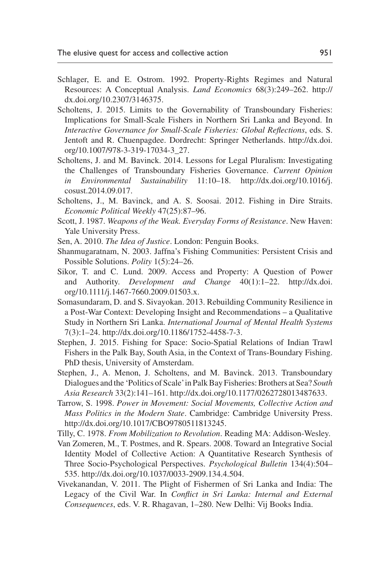- <span id="page-23-0"></span>Schlager, E. and E. Ostrom. 1992. Property-Rights Regimes and Natural Resources: A Conceptual Analysis. *Land Economics* 68(3):249–262. http:// dx.doi.org/10.2307/3146375.
- <span id="page-23-13"></span>Scholtens, J. 2015. Limits to the Governability of Transboundary Fisheries: Implications for Small-Scale Fishers in Northern Sri Lanka and Beyond. In *Interactive Governance for Small-Scale Fisheries: Global Reflections*, eds. S. Jentoft and R. Chuenpagdee. Dordrecht: Springer Netherlands. http://dx.doi. org/10.1007/978-3-319-17034-3\_27.
- <span id="page-23-14"></span>Scholtens, J. and M. Bavinck. 2014. Lessons for Legal Pluralism: Investigating the Challenges of Transboundary Fisheries Governance. *Current Opinion in Environmental Sustainability* 11:10–18. http://dx.doi.org/10.1016/j. cosust.2014.09.017.
- <span id="page-23-11"></span>Scholtens, J., M. Bavinck, and A. S. Soosai. 2012. Fishing in Dire Straits. *Economic Political Weekly* 47(25):87–96.
- <span id="page-23-4"></span>Scott, J. 1987. *Weapons of the Weak. Everyday Forms of Resistance*. New Haven: Yale University Press.
- <span id="page-23-6"></span>Sen, A. 2010. *The Idea of Justice*. London: Penguin Books.
- <span id="page-23-9"></span>Shanmugaratnam, N. 2003. Jaffna's Fishing Communities: Persistent Crisis and Possible Solutions. *Polity* 1(5):24–26.
- <span id="page-23-1"></span>Sikor, T. and C. Lund. 2009. Access and Property: A Question of Power and Authority. *Development and Change* 40(1):1–22. http://dx.doi. org/10.1111/j.1467-7660.2009.01503.x.
- <span id="page-23-8"></span>Somasundaram, D. and S. Sivayokan. 2013. Rebuilding Community Resilience in a Post-War Context: Developing Insight and Recommendations – a Qualitative Study in Northern Sri Lanka. *International Journal of Mental Health Systems* 7(3):1–24. http://dx.doi.org/10.1186/1752-4458-7-3.
- <span id="page-23-7"></span>Stephen, J. 2015. Fishing for Space: Socio-Spatial Relations of Indian Trawl Fishers in the Palk Bay, South Asia, in the Context of Trans-Boundary Fishing. PhD thesis, University of Amsterdam.
- <span id="page-23-12"></span>Stephen, J., A. Menon, J. Scholtens, and M. Bavinck. 2013. Transboundary Dialogues and the 'Politics of Scale' in Palk Bay Fisheries: Brothers at Sea? *South Asia Research* 33(2):141–161. http://dx.doi.org/10.1177/0262728013487633.
- <span id="page-23-3"></span>Tarrow, S. 1998. *Power in Movement: Social Movements, Collective Action and Mass Politics in the Modern State*. Cambridge: Cambridge University Press. http://dx.doi.org/10.1017/CBO9780511813245.
- <span id="page-23-2"></span>Tilly, C. 1978. *From Mobilization to Revolution*. Reading MA: Addison-Wesley.
- <span id="page-23-5"></span>Van Zomeren, M., T. Postmes, and R. Spears. 2008. Toward an Integrative Social Identity Model of Collective Action: A Quantitative Research Synthesis of Three Socio-Psychological Perspectives. *Psychological Bulletin* 134(4):504– 535. http://dx.doi.org/10.1037/0033-2909.134.4.504.
- <span id="page-23-10"></span>Vivekanandan, V. 2011. The Plight of Fishermen of Sri Lanka and India: The Legacy of the Civil War. In *Conflict in Sri Lanka: Internal and External Consequences*, eds. V. R. Rhagavan, 1–280. New Delhi: Vij Books India.